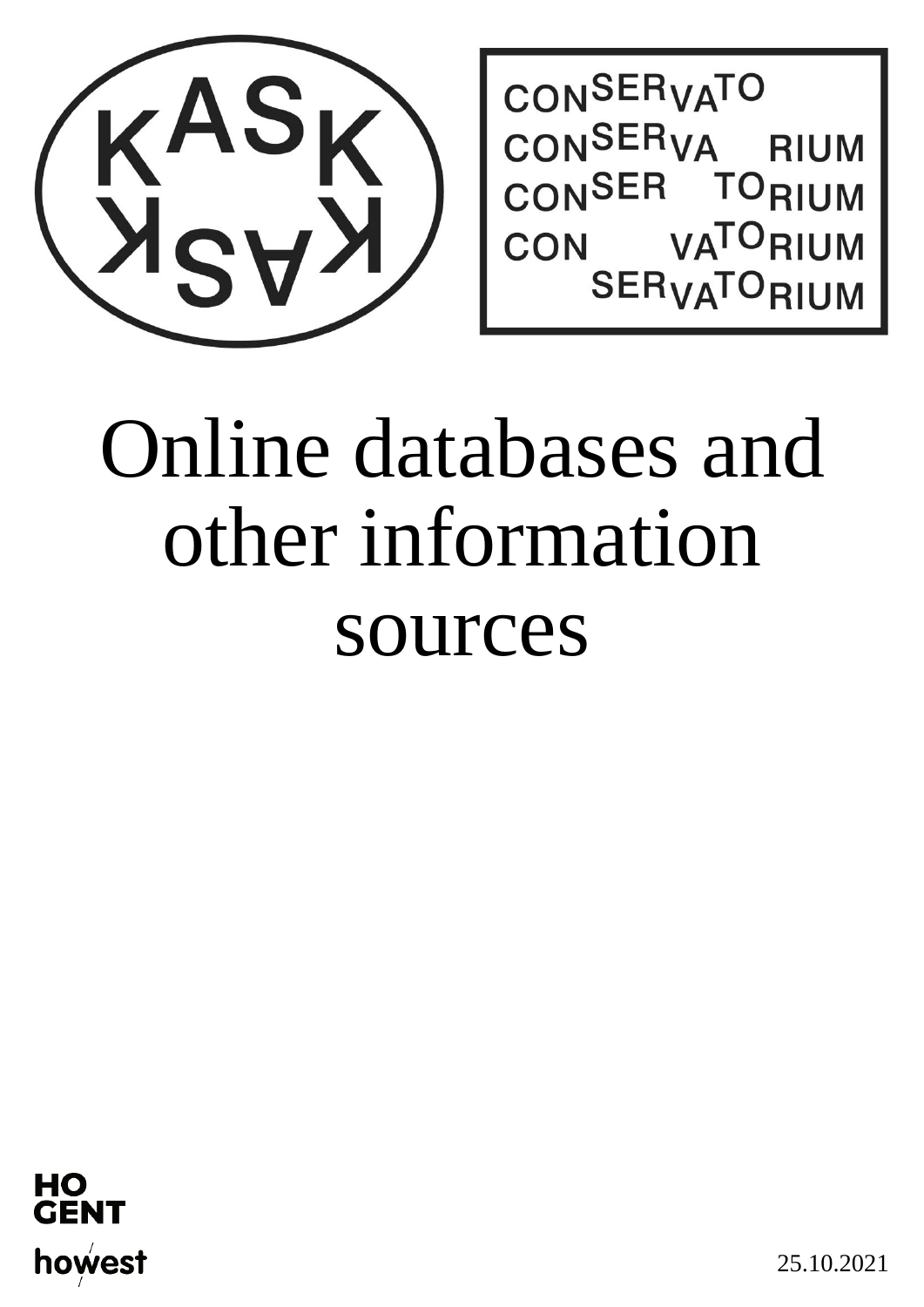

CONSERVATO CONSER<sub>VA</sub> **RIUM** CONSER TORIUM CON **VA<sup>TO</sup>RIUM** SER<sub>VA</sub>TORIUM

# Online databases and other information sources



25.10.2021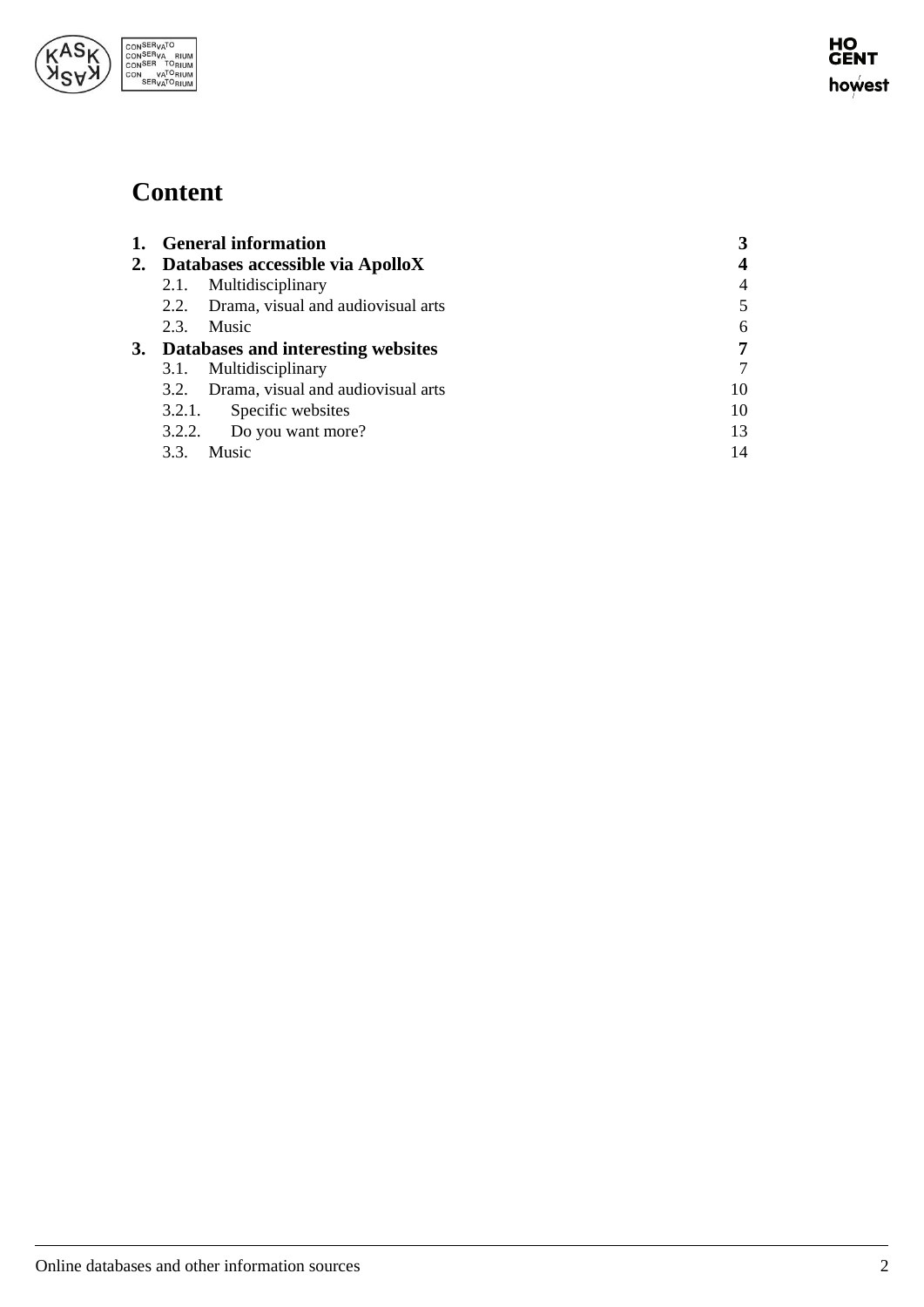

# **Content**

| 1. General information                  |    |
|-----------------------------------------|----|
| 2. Databases accessible via ApolloX     |    |
| 2.1. Multidisciplinary                  |    |
| 2.2. Drama, visual and audiovisual arts |    |
| 2.3. Music                              | 6  |
| 3. Databases and interesting websites   |    |
| 3.1. Multidisciplinary                  |    |
| 3.2. Drama, visual and audiovisual arts | 10 |
| 3.2.1. Specific websites                | 10 |
| 3.2.2. Do you want more?                | 13 |
| Music<br>3.3.                           | 14 |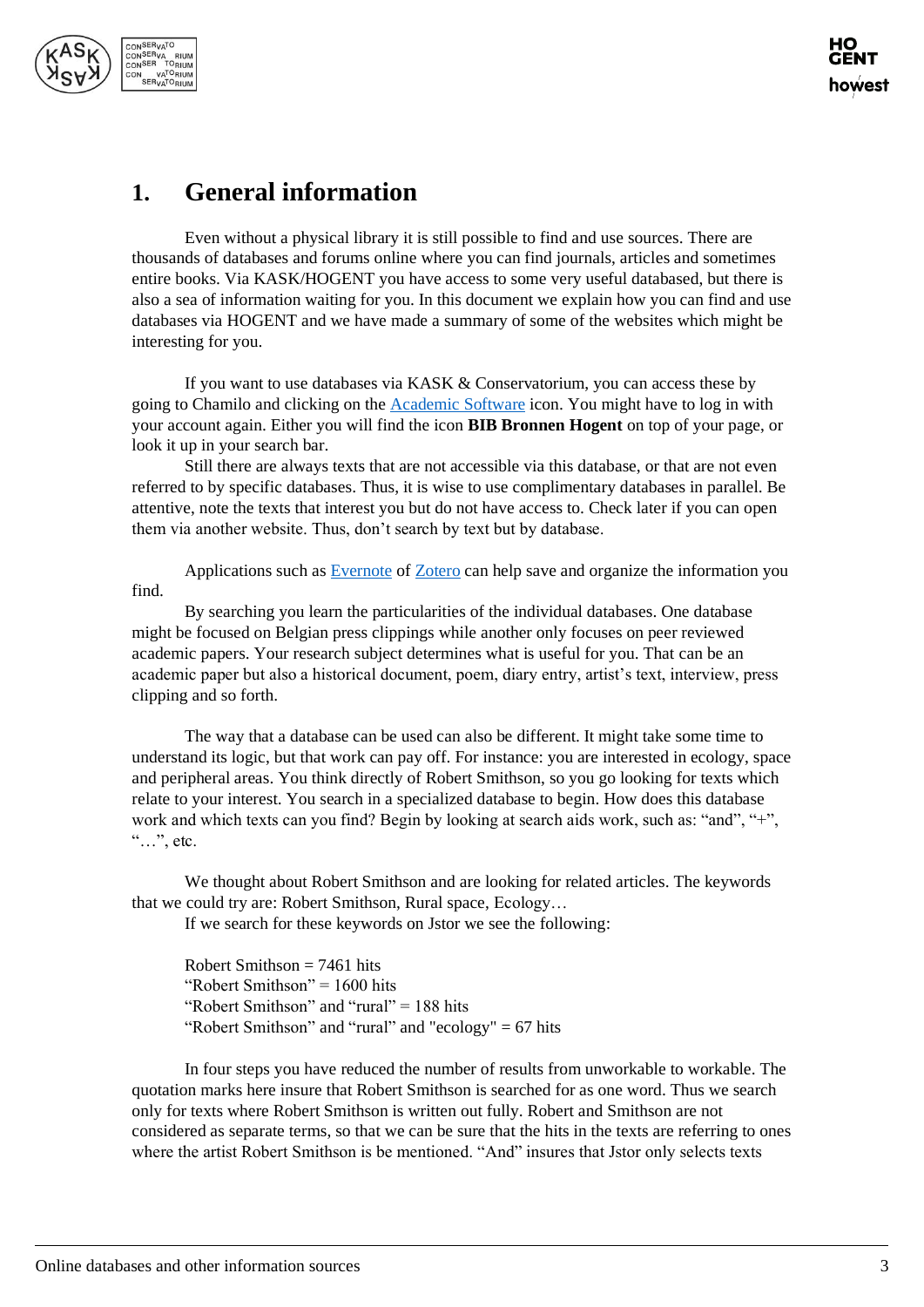

# <span id="page-2-0"></span>**1. General information**

Even without a physical library it is still possible to find and use sources. There are thousands of databases and forums online where you can find journals, articles and sometimes entire books. Via KASK/HOGENT you have access to some very useful databased, but there is also a sea of information waiting for you. In this document we explain how you can find and use databases via HOGENT and we have made a summary of some of the websites which might be interesting for you.

If you want to use databases via KASK & Conservatorium, you can access these by going to Chamilo and clicking on the [Academic Software](https://www.academicsoftware.eu/) icon. You might have to log in with your account again. Either you will find the icon **BIB Bronnen Hogent** on top of your page, or look it up in your search bar.

Still there are always texts that are not accessible via this database, or that are not even referred to by specific databases. Thus, it is wise to use complimentary databases in parallel. Be attentive, note the texts that interest you but do not have access to. Check later if you can open them via another website. Thus, don't search by text but by database.

Applications such as [Evernote](https://evernote.com/intl/nl/) of [Zotero](https://www.zotero.org/) can help save and organize the information you find.

By searching you learn the particularities of the individual databases. One database might be focused on Belgian press clippings while another only focuses on peer reviewed academic papers. Your research subject determines what is useful for you. That can be an academic paper but also a historical document, poem, diary entry, artist's text, interview, press clipping and so forth.

The way that a database can be used can also be different. It might take some time to understand its logic, but that work can pay off. For instance: you are interested in ecology, space and peripheral areas. You think directly of Robert Smithson, so you go looking for texts which relate to your interest. You search in a specialized database to begin. How does this database work and which texts can you find? Begin by looking at search aids work, such as: "and", "+", "…", etc.

We thought about Robert Smithson and are looking for related articles. The keywords that we could try are: Robert Smithson, Rural space, Ecology…

If we search for these keywords on Jstor we see the following:

Robert Smithson = 7461 hits "Robert Smithson" = 1600 hits "Robert Smithson" and "rural"  $= 188$  hits "Robert Smithson" and "rural" and "ecology"  $= 67$  hits

In four steps you have reduced the number of results from unworkable to workable. The quotation marks here insure that Robert Smithson is searched for as one word. Thus we search only for texts where Robert Smithson is written out fully. Robert and Smithson are not considered as separate terms, so that we can be sure that the hits in the texts are referring to ones where the artist Robert Smithson is be mentioned. "And" insures that Jstor only selects texts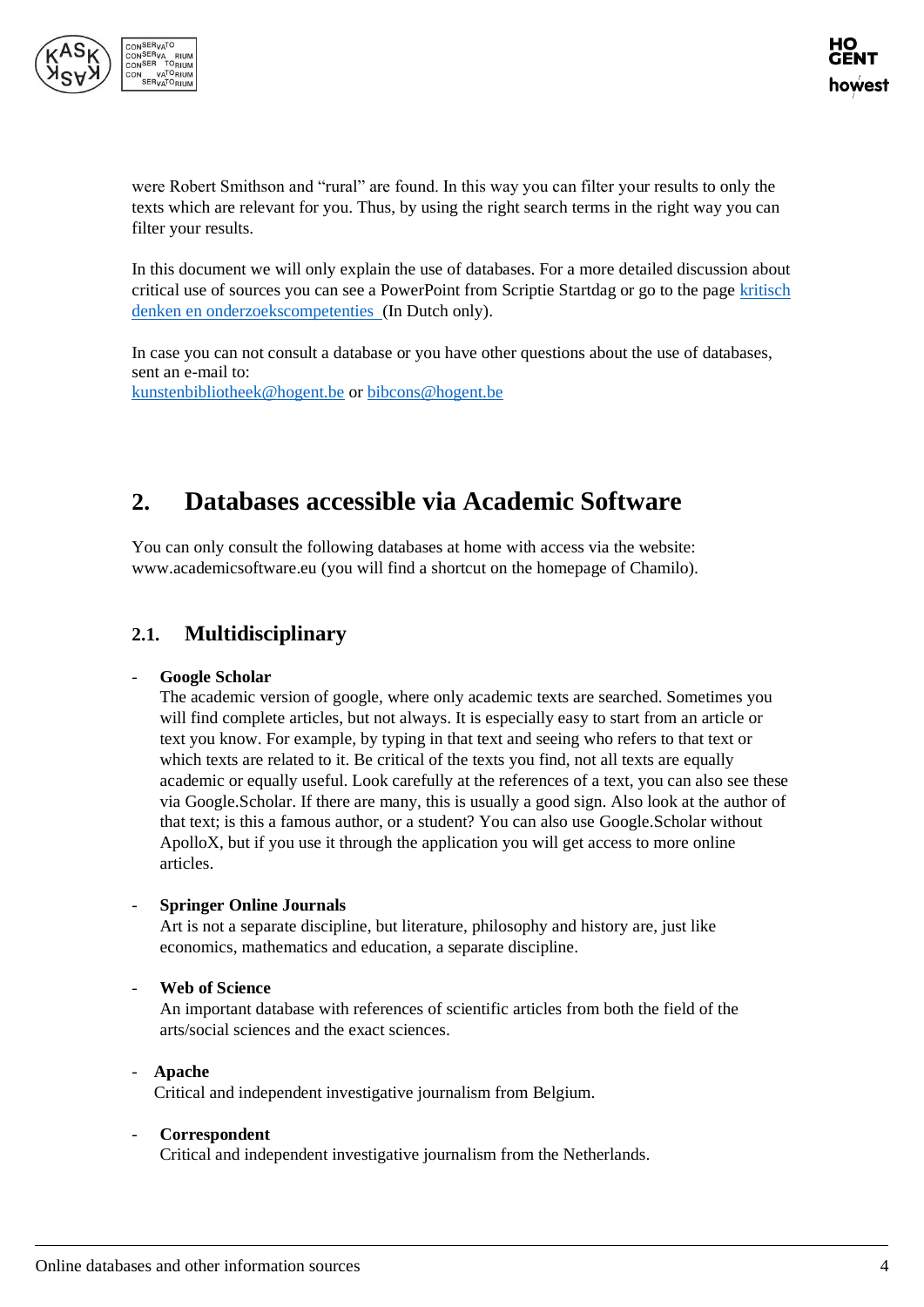

were Robert Smithson and "rural" are found. In this way you can filter your results to only the texts which are relevant for you. Thus, by using the right search terms in the right way you can filter your results.

In this document we will only explain the use of databases. For a more detailed discussion about critical use of sources you can see a PowerPoint from Scriptie Startdag or go to the page [kritisch](https://chamilo.hogent.be/index.php?application=Chamilo%5CApplication%5CWeblcms&go=CourseViewer&course=22068&tool=LearningPath&tool_action=ComplexDisplay&publication=980981&preview_content_object_id=2280471&learning_path_action=Viewer&child_id=56360)  [denken en onderzoekscompetenties](https://chamilo.hogent.be/index.php?application=Chamilo%5CApplication%5CWeblcms&go=CourseViewer&course=22068&tool=LearningPath&tool_action=ComplexDisplay&publication=980981&preview_content_object_id=2280471&learning_path_action=Viewer&child_id=56360) (In Dutch only).

In case you can not consult a database or you have other questions about the use of databases, sent an e-mail to:

[kunstenbibliotheek@hogent.be](mailto:kunstenbibliotheek@hogent.be) o[r bibcons@hogent.be](mailto:bibcons@hogent.be)

# <span id="page-3-0"></span>**2. Databases accessible via Academic Software**

You can only consult the following databases at home with access via the website: www.academicsoftware.eu (you will find a shortcut on the homepage of Chamilo).

## <span id="page-3-1"></span>**2.1. Multidisciplinary**

#### - **Google Scholar**

The academic version of google, where only academic texts are searched. Sometimes you will find complete articles, but not always. It is especially easy to start from an article or text you know. For example, by typing in that text and seeing who refers to that text or which texts are related to it. Be critical of the texts you find, not all texts are equally academic or equally useful. Look carefully at the references of a text, you can also see these via Google.Scholar. If there are many, this is usually a good sign. Also look at the author of that text; is this a famous author, or a student? You can also use Google.Scholar without ApolloX, but if you use it through the application you will get access to more online articles.

#### - **Springer Online Journals**

Art is not a separate discipline, but literature, philosophy and history are, just like economics, mathematics and education, a separate discipline.

#### - **Web of Science**

An important database with references of scientific articles from both the field of the arts/social sciences and the exact sciences.

- **Apache** Critical and independent investigative journalism from Belgium.

#### - **Correspondent**

Critical and independent investigative journalism from the Netherlands.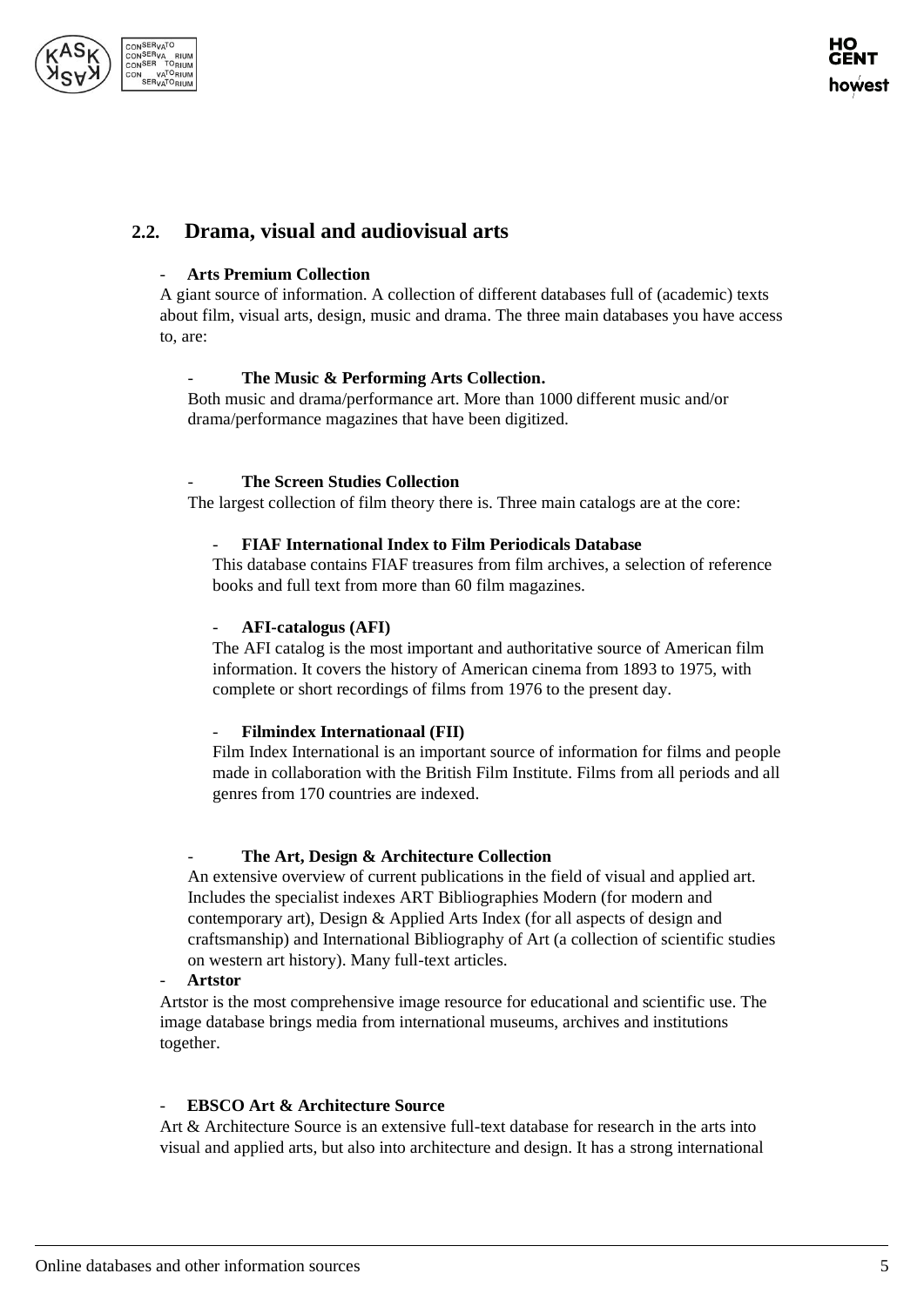

# <span id="page-4-0"></span>**2.2. Drama, visual and audiovisual arts**

#### - **Arts Premium Collection**

A giant source of information. A collection of different databases full of (academic) texts about film, visual arts, design, music and drama. The three main databases you have access to, are:

#### The Music & Performing Arts Collection.

Both music and drama/performance art. More than 1000 different music and/or drama/performance magazines that have been digitized.

#### **The Screen Studies Collection**

The largest collection of film theory there is. Three main catalogs are at the core:

#### - **FIAF International Index to Film Periodicals Database**

This database contains FIAF treasures from film archives, a selection of reference books and full text from more than 60 film magazines.

#### - **AFI-catalogus (AFI)**

The AFI catalog is the most important and authoritative source of American film information. It covers the history of American cinema from 1893 to 1975, with complete or short recordings of films from 1976 to the present day.

#### - **Filmindex Internationaal (FII)**

Film Index International is an important source of information for films and people made in collaboration with the British Film Institute. Films from all periods and all genres from 170 countries are indexed.

#### - **The Art, Design & Architecture Collection**

An extensive overview of current publications in the field of visual and applied art. Includes the specialist indexes ART Bibliographies Modern (for modern and contemporary art), Design & Applied Arts Index (for all aspects of design and craftsmanship) and International Bibliography of Art (a collection of scientific studies on western art history). Many full-text articles.

#### - **Artstor**

Artstor is the most comprehensive image resource for educational and scientific use. The image database brings media from international museums, archives and institutions together.

#### - **EBSCO Art & Architecture Source**

Art & Architecture Source is an extensive full-text database for research in the arts into visual and applied arts, but also into architecture and design. It has a strong international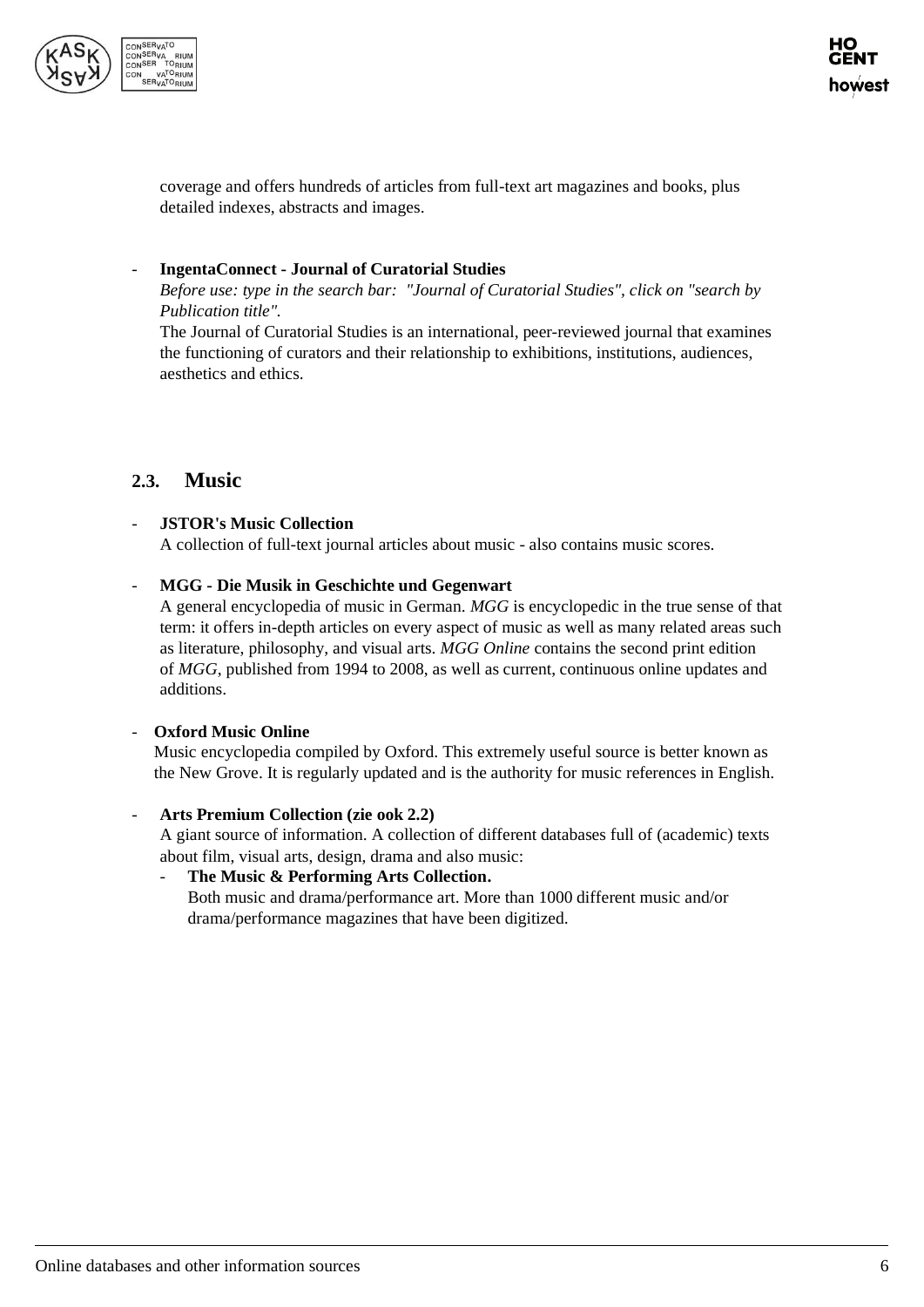

coverage and offers hundreds of articles from full-text art magazines and books, plus detailed indexes, abstracts and images.

#### - **IngentaConnect - Journal of Curatorial Studies**

*Before use: type in the search bar: "Journal of Curatorial Studies", click on "search by Publication title".*

The Journal of Curatorial Studies is an international, peer-reviewed journal that examines the functioning of curators and their relationship to exhibitions, institutions, audiences, aesthetics and ethics.

## <span id="page-5-0"></span>**2.3. Music**

#### - **JSTOR's Music Collection**

A collection of full-text journal articles about music - also contains music scores.

#### - **MGG - Die Musik in Geschichte und Gegenwart**

A general encyclopedia of music in German. *MGG* is encyclopedic in the true sense of that term: it offers in-depth articles on every aspect of music as well as many related areas such as literature, philosophy, and visual arts. *MGG Online* contains the second print edition of *MGG*, published from 1994 to 2008, as well as current, continuous online updates and additions.

#### - **Oxford Music Online**

Music encyclopedia compiled by Oxford. This extremely useful source is better known as the New Grove. It is regularly updated and is the authority for music references in English.

#### - **Arts Premium Collection (zie ook 2.2)**

A giant source of information. A collection of different databases full of (academic) texts about film, visual arts, design, drama and also music:

- **The Music & Performing Arts Collection.** Both music and drama/performance art. More than 1000 different music and/or drama/performance magazines that have been digitized.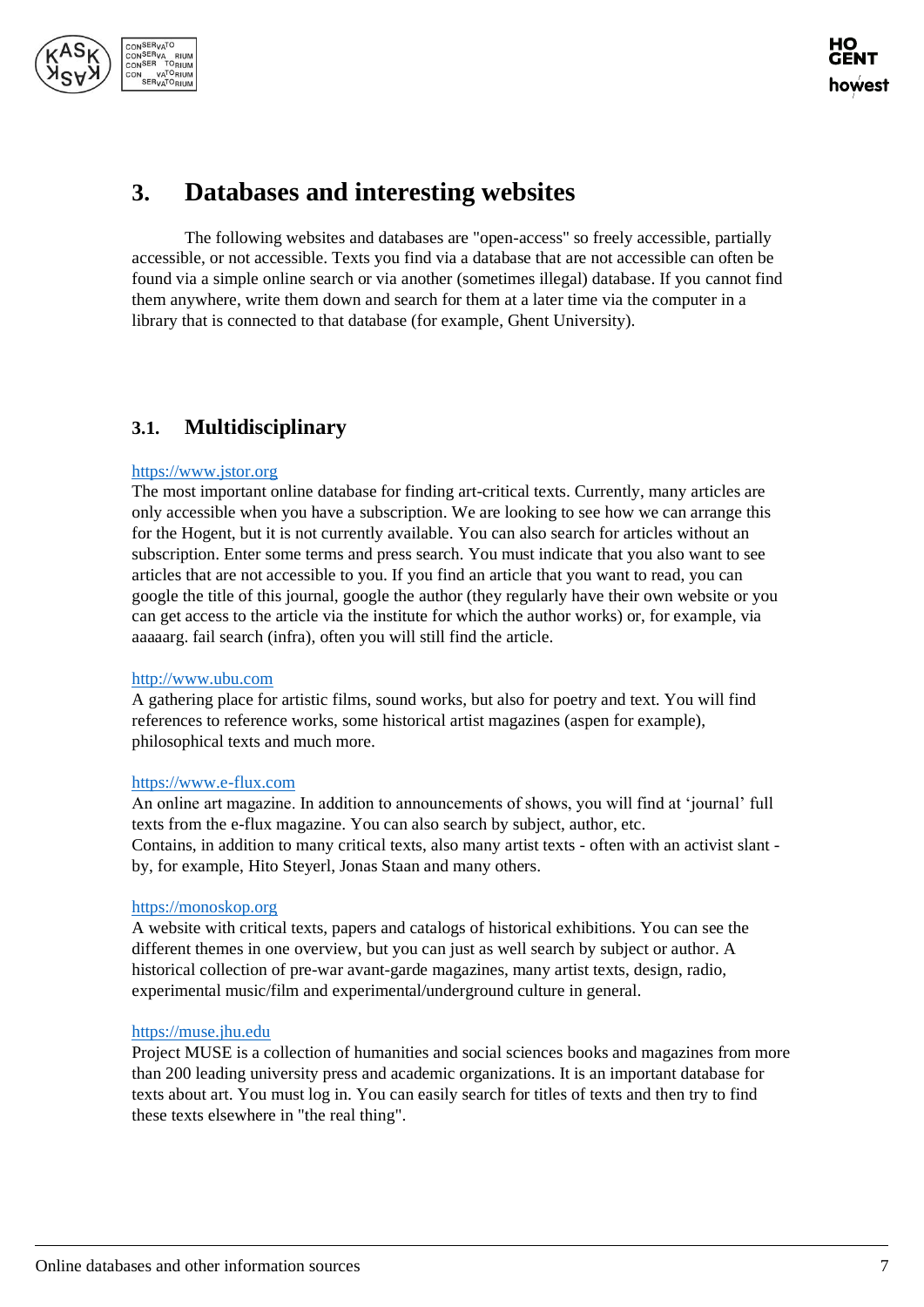

# <span id="page-6-0"></span>**3. Databases and interesting websites**

The following websites and databases are "open-access" so freely accessible, partially accessible, or not accessible. Texts you find via a database that are not accessible can often be found via a simple online search or via another (sometimes illegal) database. If you cannot find them anywhere, write them down and search for them at a later time via the computer in a library that is connected to that database (for example, Ghent University).

## <span id="page-6-1"></span>**3.1. Multidisciplinary**

#### [https://www.jstor.org](https://www.jstor.org/)

The most important online database for finding art-critical texts. Currently, many articles are only accessible when you have a subscription. We are looking to see how we can arrange this for the Hogent, but it is not currently available. You can also search for articles without an subscription. Enter some terms and press search. You must indicate that you also want to see articles that are not accessible to you. If you find an article that you want to read, you can google the title of this journal, google the author (they regularly have their own website or you can get access to the article via the institute for which the author works) or, for example, via aaaaarg. fail search (infra), often you will still find the article.

#### [http://www.ubu.com](http://www.ubu.com/)

A gathering place for artistic films, sound works, but also for poetry and text. You will find references to reference works, some historical artist magazines (aspen for example), philosophical texts and much more.

#### [https://www.e-flux.com](https://www.e-flux.com/)

An online art magazine. In addition to announcements of shows, you will find at 'journal' full texts from the e-flux magazine. You can also search by subject, author, etc. Contains, in addition to many critical texts, also many artist texts - often with an activist slant by, for example, Hito Steyerl, Jonas Staan and many others.

#### [https://monoskop.org](https://monoskop.org/)

A website with critical texts, papers and catalogs of historical exhibitions. You can see the different themes in one overview, but you can just as well search by subject or author. A historical collection of pre-war avant-garde magazines, many artist texts, design, radio, experimental music/film and experimental/underground culture in general.

#### [https://muse.jhu.edu](https://muse.jhu.edu/)

Project MUSE is a collection of humanities and social sciences books and magazines from more than 200 leading university press and academic organizations. It is an important database for texts about art. You must log in. You can easily search for titles of texts and then try to find these texts elsewhere in "the real thing".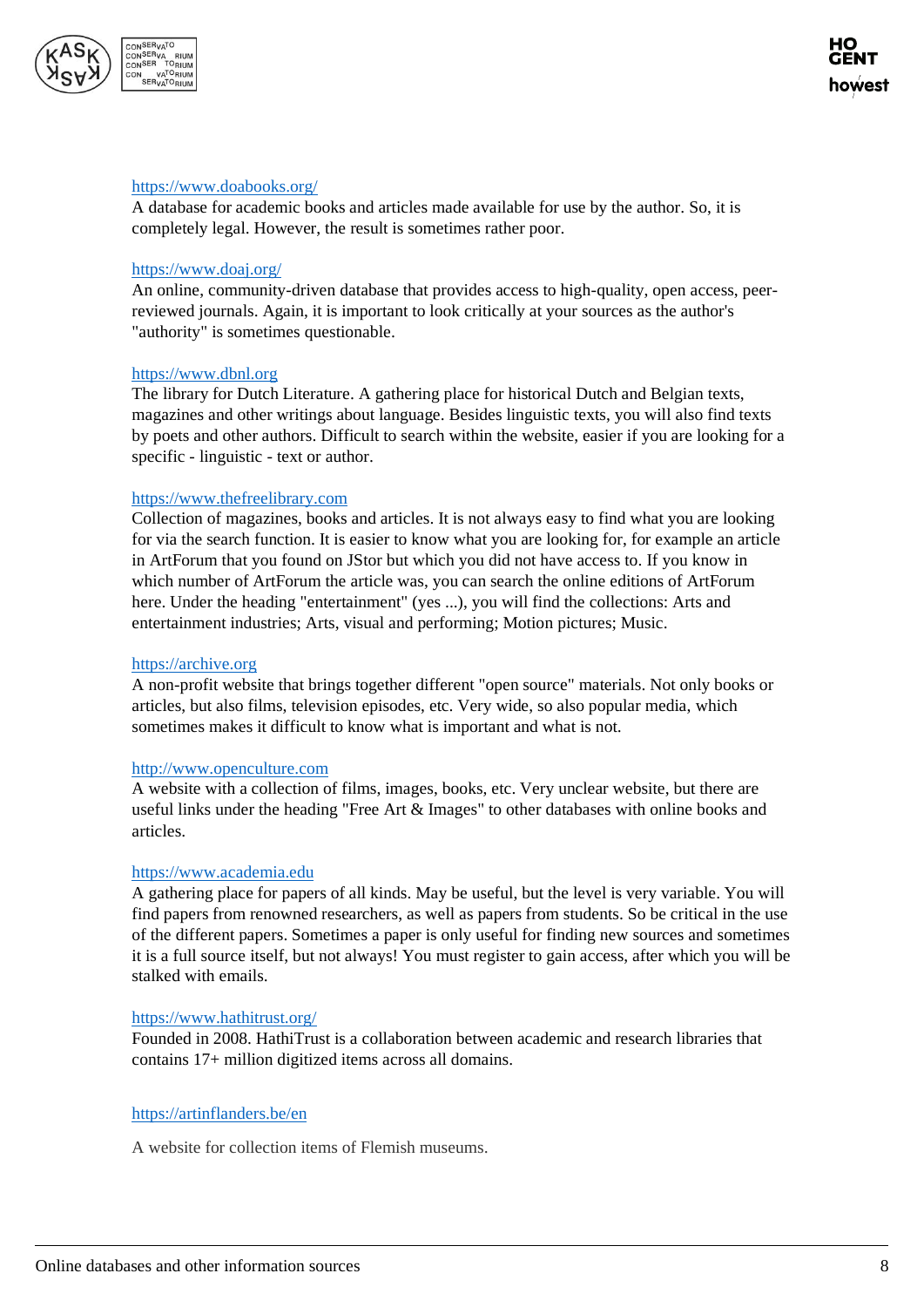

#### <https://www.doabooks.org/>

A database for academic books and articles made available for use by the author. So, it is completely legal. However, the result is sometimes rather poor.

#### <https://www.doaj.org/>

An online, community-driven database that provides access to high-quality, open access, peerreviewed journals. Again, it is important to look critically at your sources as the author's "authority" is sometimes questionable.

#### [https://www.dbnl.org](https://www.dbnl.org/)

The library for Dutch Literature. A gathering place for historical Dutch and Belgian texts, magazines and other writings about language. Besides linguistic texts, you will also find texts by poets and other authors. Difficult to search within the website, easier if you are looking for a specific - linguistic - text or author.

#### [https://www.thefreelibrary.com](https://www.thefreelibrary.com/)

Collection of magazines, books and articles. It is not always easy to find what you are looking for via the search function. It is easier to know what you are looking for, for example an article in ArtForum that you found on JStor but which you did not have access to. If you know in which number of ArtForum the article was, you can search the online editions of ArtForum here. Under the heading "entertainment" (yes ...), you will find the collections: Arts and entertainment industries; Arts, visual and performing; Motion pictures; Music.

#### [https://archive.org](https://archive.org/)

A non-profit website that brings together different "open source" materials. Not only books or articles, but also films, television episodes, etc. Very wide, so also popular media, which sometimes makes it difficult to know what is important and what is not.

#### [http://www.openculture.com](http://www.openculture.com/)

A website with a collection of films, images, books, etc. Very unclear website, but there are useful links under the heading "Free Art & Images" to other databases with online books and articles.

#### [https://www.academia.edu](https://www.academia.edu/)

A gathering place for papers of all kinds. May be useful, but the level is very variable. You will find papers from renowned researchers, as well as papers from students. So be critical in the use of the different papers. Sometimes a paper is only useful for finding new sources and sometimes it is a full source itself, but not always! You must register to gain access, after which you will be stalked with emails.

#### <https://www.hathitrust.org/>

Founded in 2008. HathiTrust is a collaboration between academic and research libraries that contains 17+ million digitized items across all domains.

#### <https://artinflanders.be/en>

A website for collection items of Flemish museums.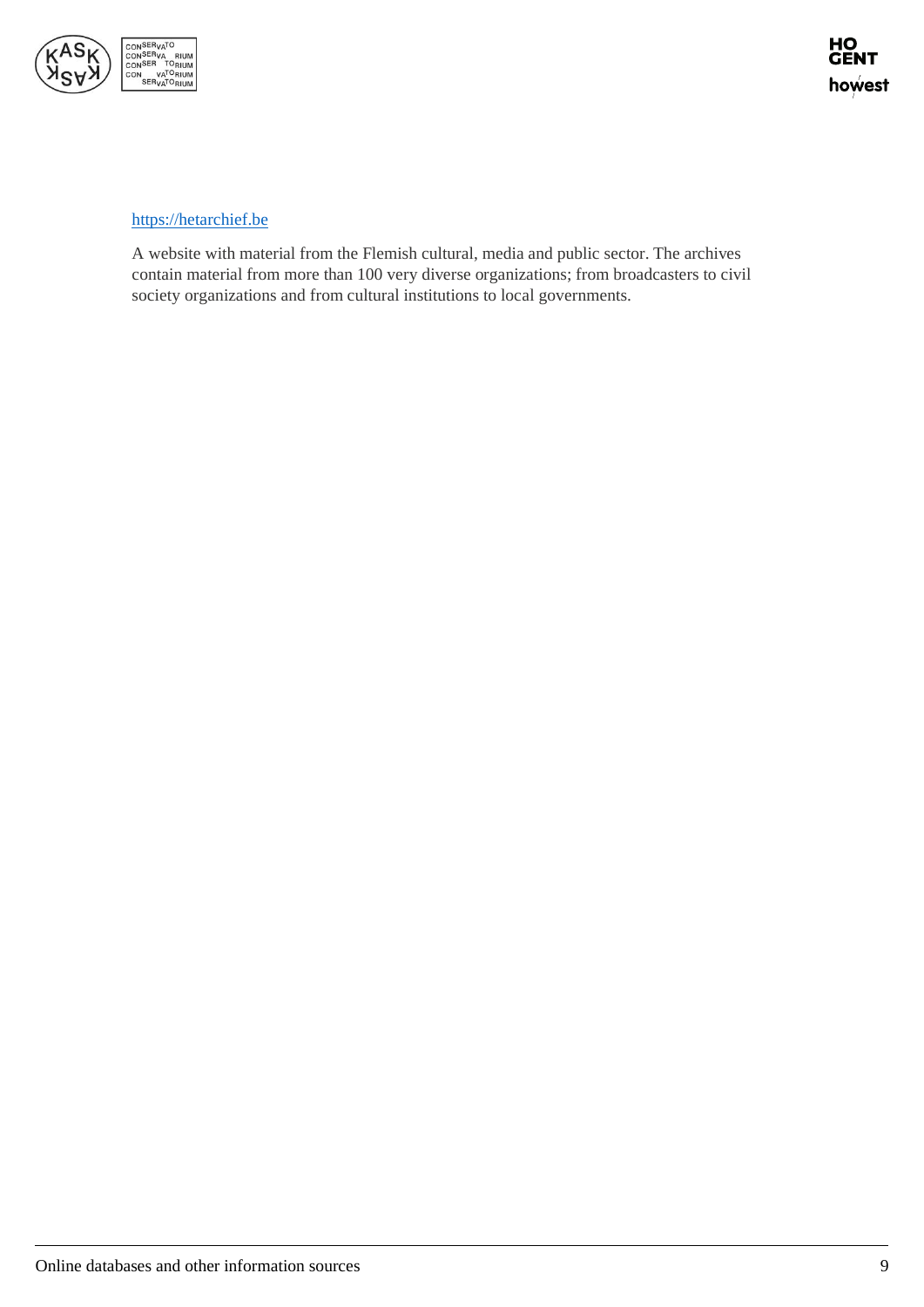

#### [https://hetarchief.be](https://hetarchief.be/)

A website with material from the Flemish cultural, media and public sector. The archives contain material from more than 100 very diverse organizations; from broadcasters to civil society organizations and from cultural institutions to local governments.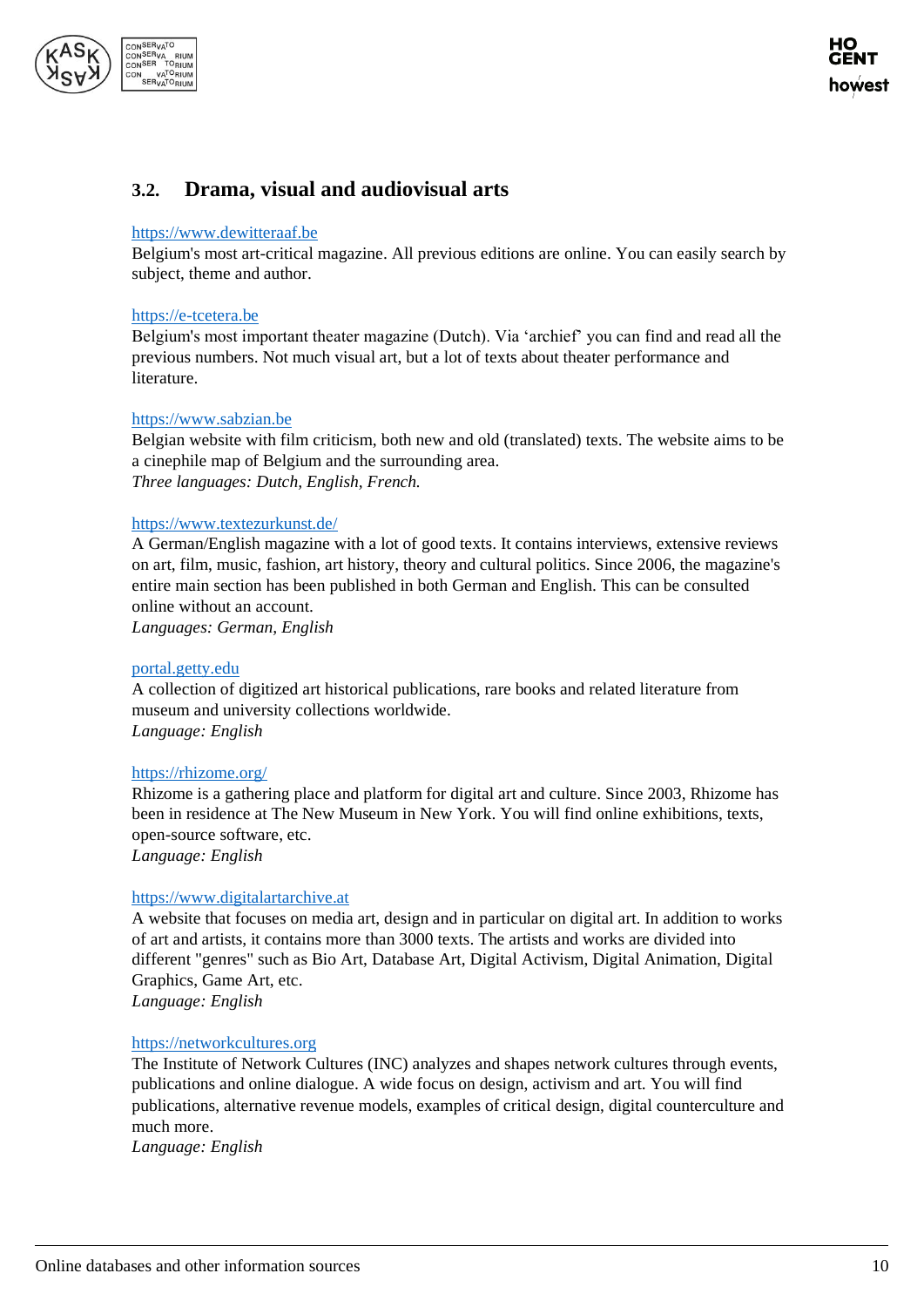

## <span id="page-9-0"></span>**3.2. Drama, visual and audiovisual arts**

#### [https://www.dewitteraaf.be](https://www.dewitteraaf.be/)

Belgium's most art-critical magazine. All previous editions are online. You can easily search by subject, theme and author.

#### [https://e-tcetera.be](https://e-tcetera.be/)

Belgium's most important theater magazine (Dutch). Via 'archief' you can find and read all the previous numbers. Not much visual art, but a lot of texts about theater performance and literature.

#### [https://www.sabzian.be](https://www.sabzian.be/)

Belgian website with film criticism, both new and old (translated) texts. The website aims to be a cinephile map of Belgium and the surrounding area. *Three languages: Dutch, English, French.*

#### <https://www.textezurkunst.de/>

A German/English magazine with a lot of good texts. It contains interviews, extensive reviews on art, film, music, fashion, art history, theory and cultural politics. Since 2006, the magazine's entire main section has been published in both German and English. This can be consulted online without an account.

*Languages: German, English*

#### [portal.getty.edu](http://portal.getty.edu/)

A collection of digitized art historical publications, rare books and related literature from museum and university collections worldwide. *Language: English*

#### <https://rhizome.org/>

Rhizome is a gathering place and platform for digital art and culture. Since 2003, Rhizome has been in residence at The New Museum in New York. You will find online exhibitions, texts, open-source software, etc.

*Language: English*

#### [https://www.digitalartarchive.at](https://www.digitalartarchive.at/)

A website that focuses on media art, design and in particular on digital art. In addition to works of art and artists, it contains more than 3000 texts. The artists and works are divided into different "genres" such as Bio Art, Database Art, Digital Activism, Digital Animation, Digital Graphics, Game Art, etc.

*Language: English*

#### [https://networkcultures.org](https://networkcultures.org/)

The Institute of Network Cultures (INC) analyzes and shapes network cultures through events, publications and online dialogue. A wide focus on design, activism and art. You will find publications, alternative revenue models, examples of critical design, digital counterculture and much more.

*Language: English*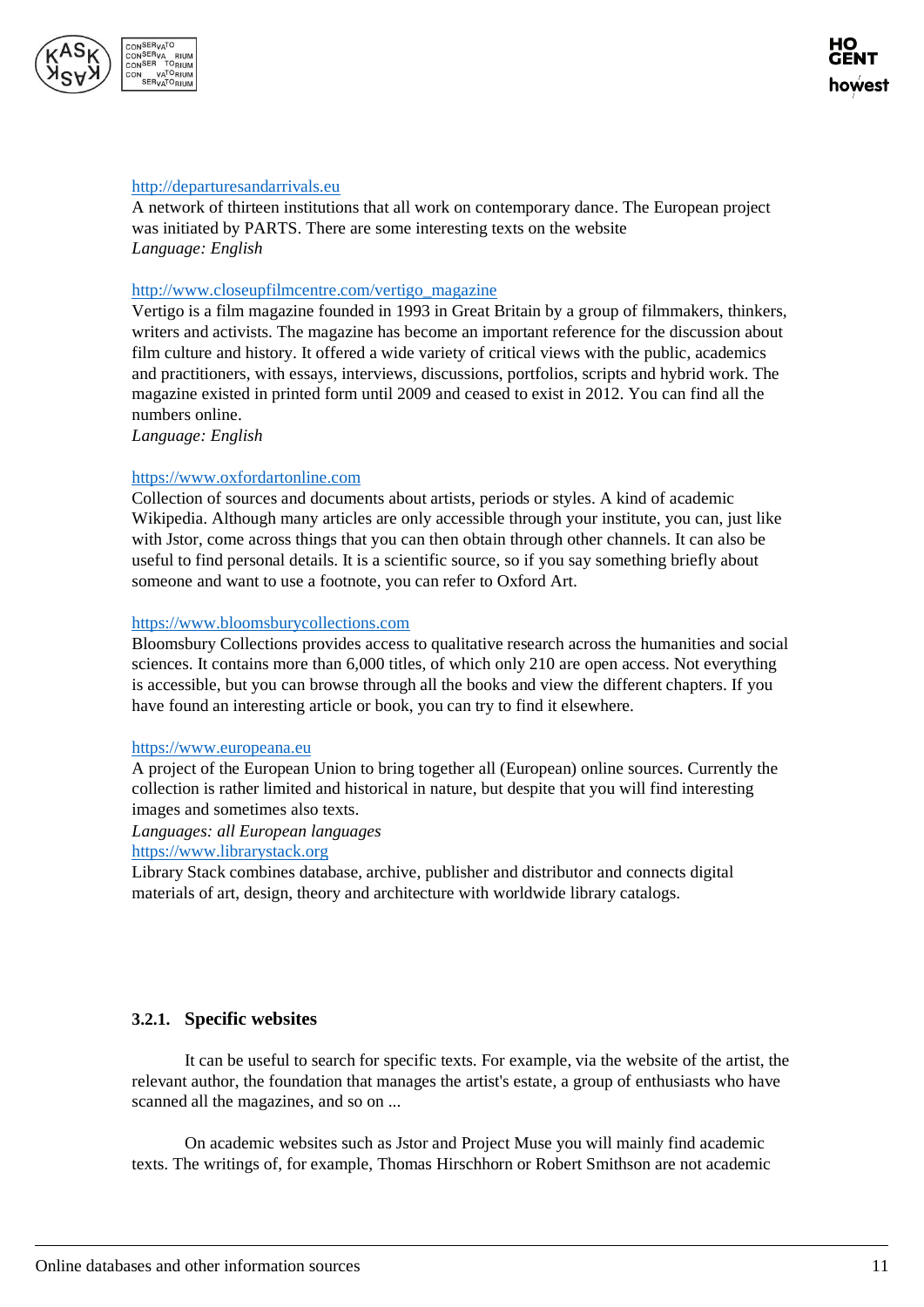

#### [http://departuresandarrivals.eu](http://departuresandarrivals.eu/)

A network of thirteen institutions that all work on contemporary dance. The European project was initiated by PARTS. There are some interesting texts on the website *Language: English*

#### [http://www.closeupfilmcentre.com/vertigo\\_magazine](http://www.closeupfilmcentre.com/vertigo_magazine)

Vertigo is a film magazine founded in 1993 in Great Britain by a group of filmmakers, thinkers, writers and activists. The magazine has become an important reference for the discussion about film culture and history. It offered a wide variety of critical views with the public, academics and practitioners, with essays, interviews, discussions, portfolios, scripts and hybrid work. The magazine existed in printed form until 2009 and ceased to exist in 2012. You can find all the numbers online.

*Language: English*

#### [https://www.oxfordartonline.com](https://www.oxfordartonline.com/)

Collection of sources and documents about artists, periods or styles. A kind of academic Wikipedia. Although many articles are only accessible through your institute, you can, just like with Jstor, come across things that you can then obtain through other channels. It can also be useful to find personal details. It is a scientific source, so if you say something briefly about someone and want to use a footnote, you can refer to Oxford Art.

#### [https://www.bloomsburycollections.com](https://www.bloomsburycollections.com/)

Bloomsbury Collections provides access to qualitative research across the humanities and social sciences. It contains more than 6,000 titles, of which only 210 are open access. Not everything is accessible, but you can browse through all the books and view the different chapters. If you have found an interesting article or book, you can try to find it elsewhere.

#### [https://www.europeana.eu](https://www.europeana.eu/)

A project of the European Union to bring together all (European) online sources. Currently the collection is rather limited and historical in nature, but despite that you will find interesting images and sometimes also texts.

*Languages: all European languages* [https://www.librarystack.org](https://www.librarystack.org/)

Library Stack combines database, archive, publisher and distributor and connects digital materials of art, design, theory and architecture with worldwide library catalogs.

#### <span id="page-10-0"></span>**3.2.1. Specific websites**

It can be useful to search for specific texts. For example, via the website of the artist, the relevant author, the foundation that manages the artist's estate, a group of enthusiasts who have scanned all the magazines, and so on ...

On academic websites such as Jstor and Project Muse you will mainly find academic texts. The writings of, for example, Thomas Hirschhorn or Robert Smithson are not academic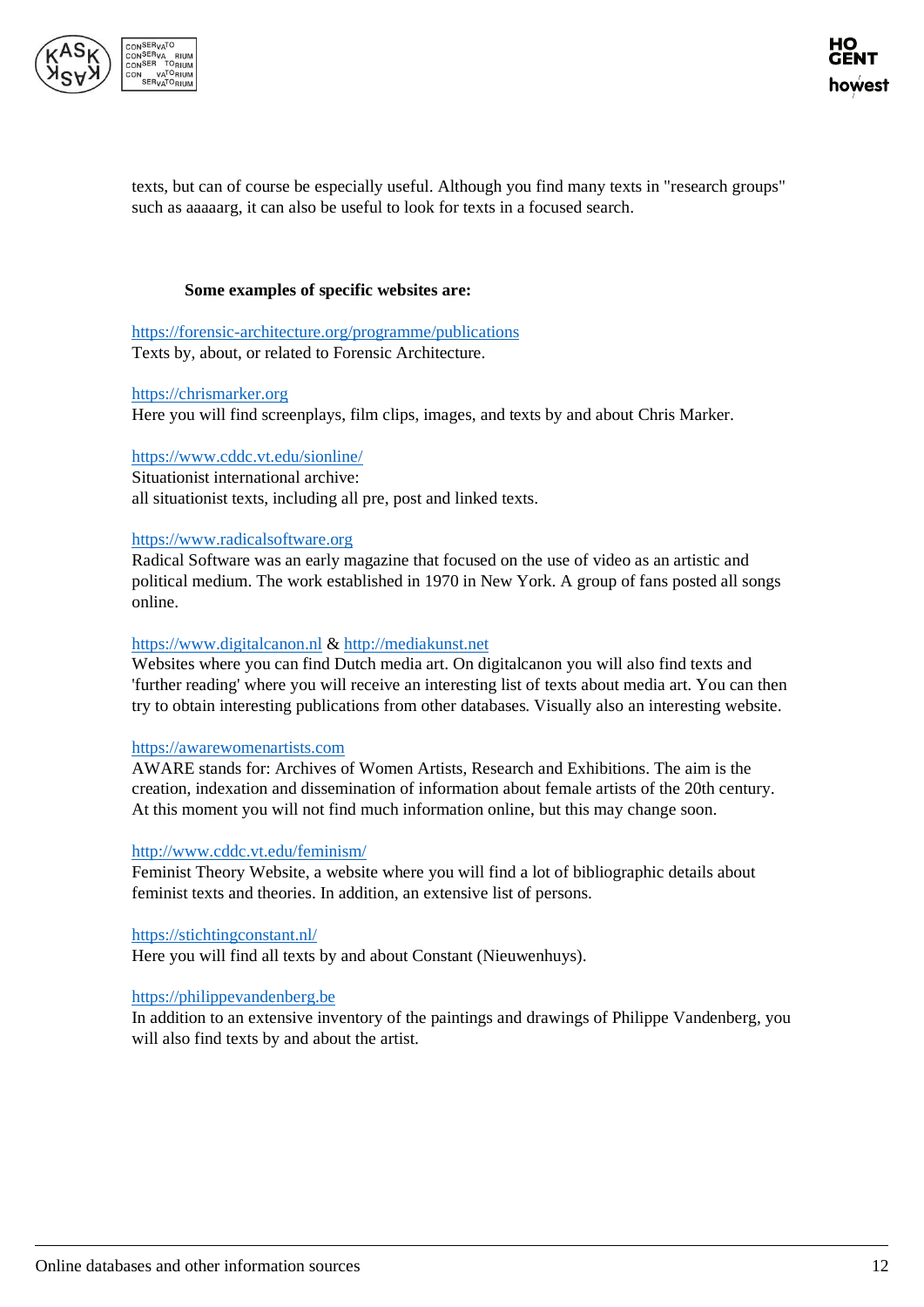

texts, but can of course be especially useful. Although you find many texts in "research groups" such as aaaaarg, it can also be useful to look for texts in a focused search.

#### **Some examples of specific websites are:**

<https://forensic-architecture.org/programme/publications> Texts by, about, or related to Forensic Architecture.

#### [https://chrismarker.org](https://chrismarker.org/)

Here you will find screenplays, film clips, images, and texts by and about Chris Marker.

#### <https://www.cddc.vt.edu/sionline/>

Situationist international archive: all situationist texts, including all pre, post and linked texts.

#### [https://www.radicalsoftware.org](https://www.radicalsoftware.org/)

Radical Software was an early magazine that focused on the use of video as an artistic and political medium. The work established in 1970 in New York. A group of fans posted all songs online.

#### [https://www.digitalcanon.nl](https://www.digitalcanon.nl/) & [http://mediakunst.net](http://mediakunst.net/)

Websites where you can find Dutch media art. On digitalcanon you will also find texts and 'further reading' where you will receive an interesting list of texts about media art. You can then try to obtain interesting publications from other databases. Visually also an interesting website.

#### [https://awarewomenartists.com](https://awarewomenartists.com/)

AWARE stands for: Archives of Women Artists, Research and Exhibitions. The aim is the creation, indexation and dissemination of information about female artists of the 20th century. At this moment you will not find much information online, but this may change soon.

#### <http://www.cddc.vt.edu/feminism/>

Feminist Theory Website, a website where you will find a lot of bibliographic details about feminist texts and theories. In addition, an extensive list of persons.

#### <https://stichtingconstant.nl/>

Here you will find all texts by and about Constant (Nieuwenhuys).

#### [https://philippevandenberg.be](https://philippevandenberg.be/)

In addition to an extensive inventory of the paintings and drawings of Philippe Vandenberg, you will also find texts by and about the artist.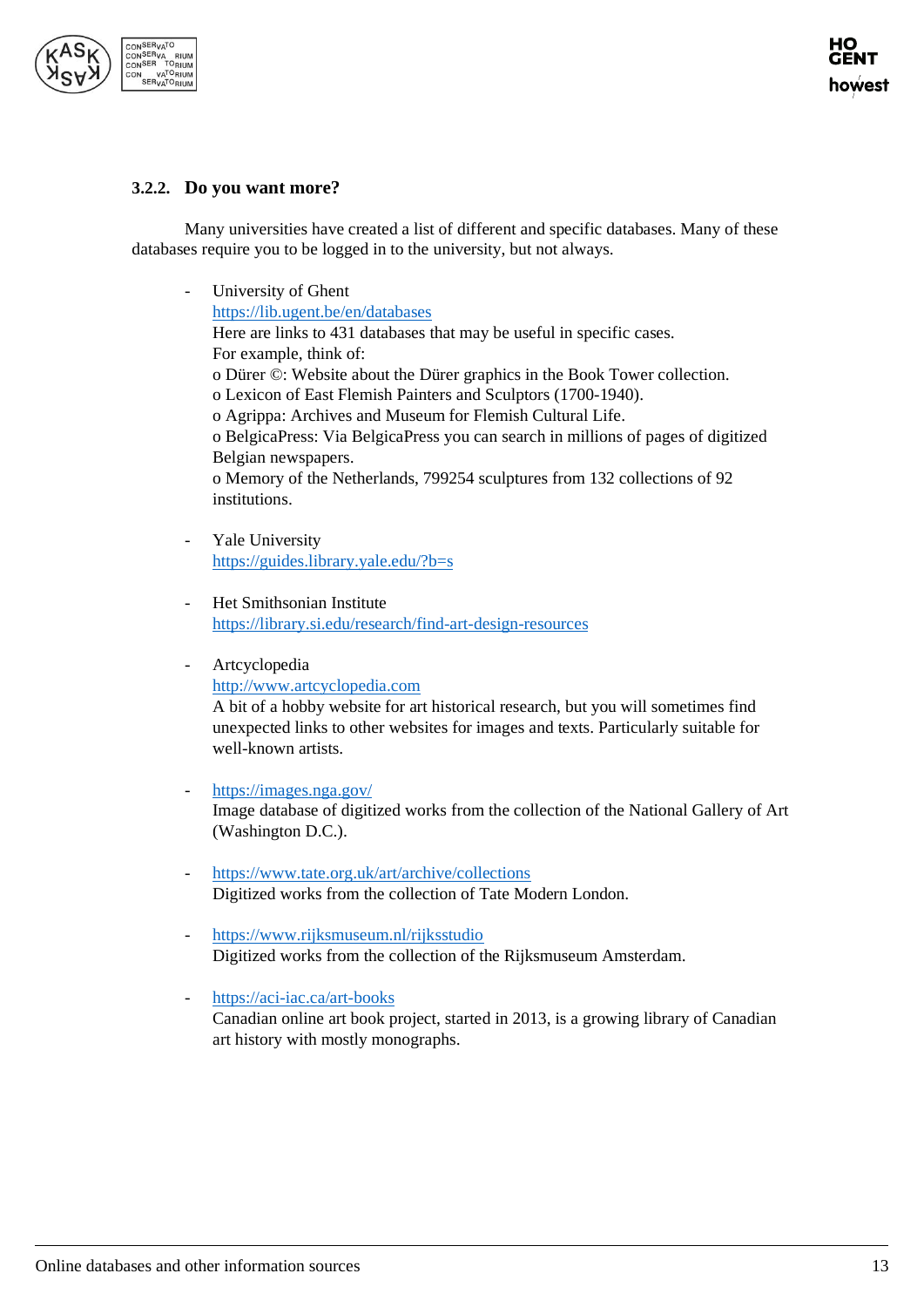

#### <span id="page-12-0"></span>**3.2.2. Do you want more?**

Many universities have created a list of different and specific databases. Many of these databases require you to be logged in to the university, but not always.

- University of Ghent <https://lib.ugent.be/en/databases> Here are links to 431 databases that may be useful in specific cases. For example, think of: o Dürer ©: Website about the Dürer graphics in the Book Tower collection. o Lexicon of East Flemish Painters and Sculptors (1700-1940). o Agrippa: Archives and Museum for Flemish Cultural Life. o BelgicaPress: Via BelgicaPress you can search in millions of pages of digitized Belgian newspapers. o Memory of the Netherlands, 799254 sculptures from 132 collections of 92 institutions.
- Yale University <https://guides.library.yale.edu/?b=s>
- Het Smithsonian Institute <https://library.si.edu/research/find-art-design-resources>
- Artcyclopedia

[http://www.artcyclopedia.com](http://www.artcyclopedia.com/)

A bit of a hobby website for art historical research, but you will sometimes find unexpected links to other websites for images and texts. Particularly suitable for well-known artists.

- <https://images.nga.gov/> Image database of digitized works from the collection of the National Gallery of Art (Washington D.C.).
- <https://www.tate.org.uk/art/archive/collections> Digitized works from the collection of Tate Modern London.
- <https://www.rijksmuseum.nl/rijksstudio> Digitized works from the collection of the Rijksmuseum Amsterdam.
- <https://aci-iac.ca/art-books> Canadian online art book project, started in 2013, is a growing library of Canadian art history with mostly monographs.